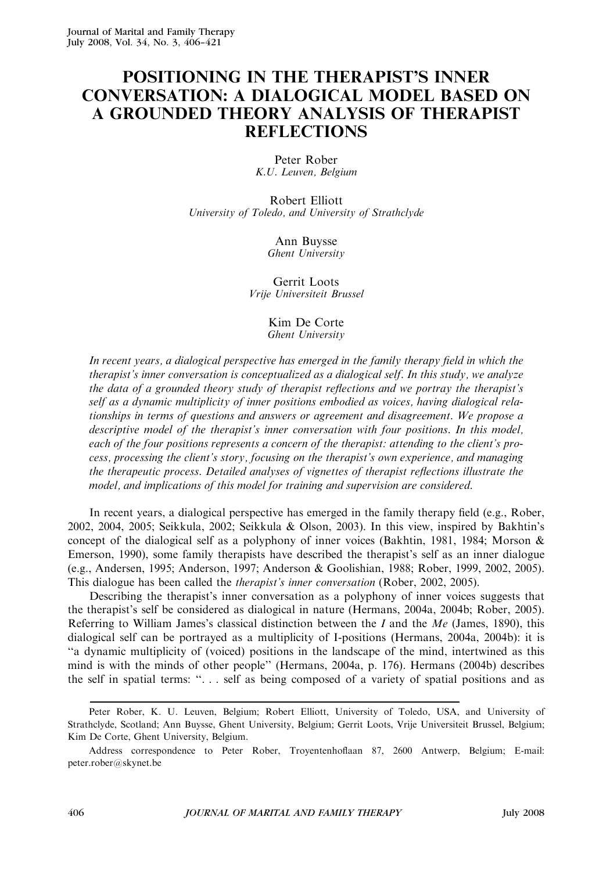# POSITIONING IN THE THERAPIST'S INNER CONVERSATION: A DIALOGICAL MODEL BASED ON A GROUNDED THEORY ANALYSIS OF THERAPIST **REFLECTIONS**

### Peter Rober K.U. Leuven, Belgium

Robert Elliott University of Toledo, and University of Strathclyde

> Ann Buysse Ghent University

Gerrit Loots Vrije Universiteit Brussel

> Kim De Corte Ghent University

In recent years, a dialogical perspective has emerged in the family therapy field in which the therapist's inner conversation is conceptualized as a dialogical self. In this study, we analyze the data of a grounded theory study of therapist reflections and we portray the therapist's self as a dynamic multiplicity of inner positions embodied as voices, having dialogical relationships in terms of questions and answers or agreement and disagreement. We propose a descriptive model of the therapist's inner conversation with four positions. In this model, each of the four positions represents a concern of the therapist: attending to the client's process, processing the client's story, focusing on the therapist's own experience, and managing the therapeutic process. Detailed analyses of vignettes of therapist reflections illustrate the model, and implications of this model for training and supervision are considered.

In recent years, a dialogical perspective has emerged in the family therapy field (e.g., Rober, 2002, 2004, 2005; Seikkula, 2002; Seikkula & Olson, 2003). In this view, inspired by Bakhtin's concept of the dialogical self as a polyphony of inner voices (Bakhtin, 1981, 1984; Morson & Emerson, 1990), some family therapists have described the therapist's self as an inner dialogue (e.g., Andersen, 1995; Anderson, 1997; Anderson & Goolishian, 1988; Rober, 1999, 2002, 2005). This dialogue has been called the therapist's inner conversation (Rober, 2002, 2005).

Describing the therapist's inner conversation as a polyphony of inner voices suggests that the therapist's self be considered as dialogical in nature (Hermans, 2004a, 2004b; Rober, 2005). Referring to William James's classical distinction between the I and the  $Me$  (James, 1890), this dialogical self can be portrayed as a multiplicity of I-positions (Hermans, 2004a, 2004b): it is ''a dynamic multiplicity of (voiced) positions in the landscape of the mind, intertwined as this mind is with the minds of other people'' (Hermans, 2004a, p. 176). Hermans (2004b) describes the self in spatial terms: "... self as being composed of a variety of spatial positions and as

Peter Rober, K. U. Leuven, Belgium; Robert Elliott, University of Toledo, USA, and University of Strathclyde, Scotland; Ann Buysse, Ghent University, Belgium; Gerrit Loots, Vrije Universiteit Brussel, Belgium; Kim De Corte, Ghent University, Belgium.

Address correspondence to Peter Rober, Troyentenhoflaan 87, 2600 Antwerp, Belgium; E-mail: peter.rober@skynet.be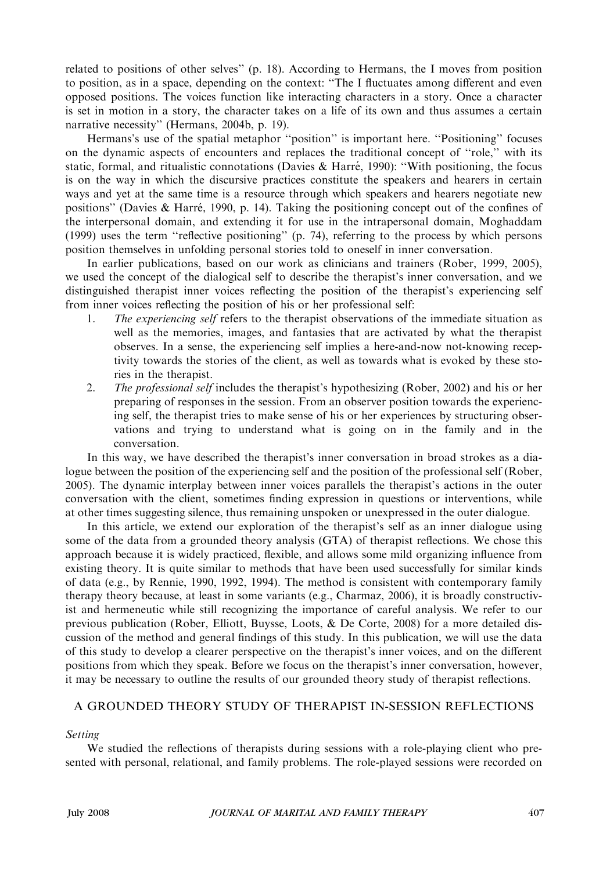related to positions of other selves'' (p. 18). According to Hermans, the I moves from position to position, as in a space, depending on the context: ''The I fluctuates among different and even opposed positions. The voices function like interacting characters in a story. Once a character is set in motion in a story, the character takes on a life of its own and thus assumes a certain narrative necessity'' (Hermans, 2004b, p. 19).

Hermans's use of the spatial metaphor ''position'' is important here. ''Positioning'' focuses on the dynamic aspects of encounters and replaces the traditional concept of ''role,'' with its static, formal, and ritualistic connotations (Davies  $\&$  Harré, 1990): "With positioning, the focus is on the way in which the discursive practices constitute the speakers and hearers in certain ways and yet at the same time is a resource through which speakers and hearers negotiate new positions" (Davies & Harré, 1990, p. 14). Taking the positioning concept out of the confines of the interpersonal domain, and extending it for use in the intrapersonal domain, Moghaddam (1999) uses the term ''reflective positioning'' (p. 74), referring to the process by which persons position themselves in unfolding personal stories told to oneself in inner conversation.

In earlier publications, based on our work as clinicians and trainers (Rober, 1999, 2005), we used the concept of the dialogical self to describe the therapist's inner conversation, and we distinguished therapist inner voices reflecting the position of the therapist's experiencing self from inner voices reflecting the position of his or her professional self:

- 1. The experiencing self refers to the therapist observations of the immediate situation as well as the memories, images, and fantasies that are activated by what the therapist observes. In a sense, the experiencing self implies a here-and-now not-knowing receptivity towards the stories of the client, as well as towards what is evoked by these stories in the therapist.
- 2. The professional self includes the therapist's hypothesizing (Rober, 2002) and his or her preparing of responses in the session. From an observer position towards the experiencing self, the therapist tries to make sense of his or her experiences by structuring observations and trying to understand what is going on in the family and in the conversation.

In this way, we have described the therapist's inner conversation in broad strokes as a dialogue between the position of the experiencing self and the position of the professional self (Rober, 2005). The dynamic interplay between inner voices parallels the therapist's actions in the outer conversation with the client, sometimes finding expression in questions or interventions, while at other times suggesting silence, thus remaining unspoken or unexpressed in the outer dialogue.

In this article, we extend our exploration of the therapist's self as an inner dialogue using some of the data from a grounded theory analysis (GTA) of therapist reflections. We chose this approach because it is widely practiced, flexible, and allows some mild organizing influence from existing theory. It is quite similar to methods that have been used successfully for similar kinds of data (e.g., by Rennie, 1990, 1992, 1994). The method is consistent with contemporary family therapy theory because, at least in some variants (e.g., Charmaz, 2006), it is broadly constructivist and hermeneutic while still recognizing the importance of careful analysis. We refer to our previous publication (Rober, Elliott, Buysse, Loots, & De Corte, 2008) for a more detailed discussion of the method and general findings of this study. In this publication, we will use the data of this study to develop a clearer perspective on the therapist's inner voices, and on the different positions from which they speak. Before we focus on the therapist's inner conversation, however, it may be necessary to outline the results of our grounded theory study of therapist reflections.

# A GROUNDED THEORY STUDY OF THERAPIST IN-SESSION REFLECTIONS

#### Setting

We studied the reflections of therapists during sessions with a role-playing client who presented with personal, relational, and family problems. The role-played sessions were recorded on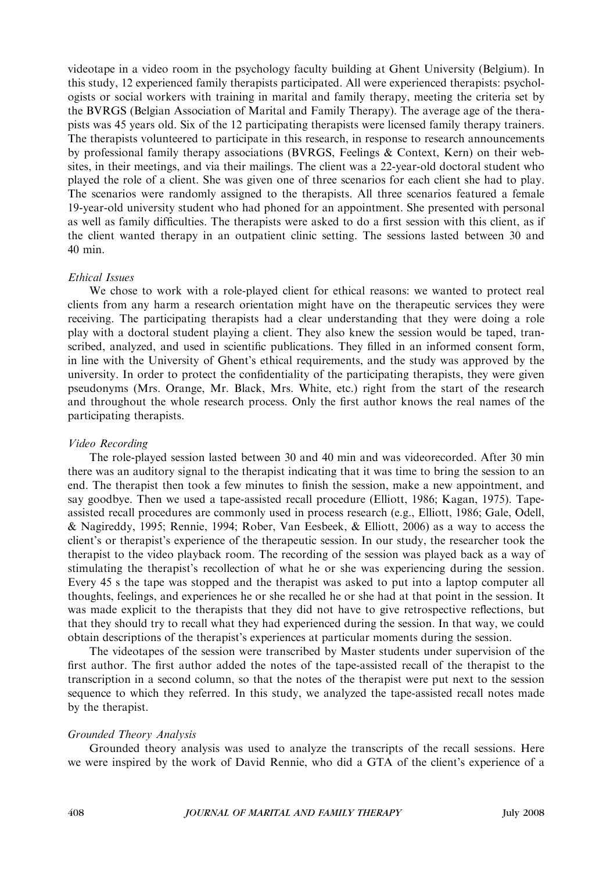videotape in a video room in the psychology faculty building at Ghent University (Belgium). In this study, 12 experienced family therapists participated. All were experienced therapists: psychologists or social workers with training in marital and family therapy, meeting the criteria set by the BVRGS (Belgian Association of Marital and Family Therapy). The average age of the therapists was 45 years old. Six of the 12 participating therapists were licensed family therapy trainers. The therapists volunteered to participate in this research, in response to research announcements by professional family therapy associations (BVRGS, Feelings & Context, Kern) on their websites, in their meetings, and via their mailings. The client was a 22-year-old doctoral student who played the role of a client. She was given one of three scenarios for each client she had to play. The scenarios were randomly assigned to the therapists. All three scenarios featured a female 19-year-old university student who had phoned for an appointment. She presented with personal as well as family difficulties. The therapists were asked to do a first session with this client, as if the client wanted therapy in an outpatient clinic setting. The sessions lasted between 30 and 40 min.

# Ethical Issues

We chose to work with a role-played client for ethical reasons: we wanted to protect real clients from any harm a research orientation might have on the therapeutic services they were receiving. The participating therapists had a clear understanding that they were doing a role play with a doctoral student playing a client. They also knew the session would be taped, transcribed, analyzed, and used in scientific publications. They filled in an informed consent form, in line with the University of Ghent's ethical requirements, and the study was approved by the university. In order to protect the confidentiality of the participating therapists, they were given pseudonyms (Mrs. Orange, Mr. Black, Mrs. White, etc.) right from the start of the research and throughout the whole research process. Only the first author knows the real names of the participating therapists.

## Video Recording

The role-played session lasted between 30 and 40 min and was videorecorded. After 30 min there was an auditory signal to the therapist indicating that it was time to bring the session to an end. The therapist then took a few minutes to finish the session, make a new appointment, and say goodbye. Then we used a tape-assisted recall procedure (Elliott, 1986; Kagan, 1975). Tapeassisted recall procedures are commonly used in process research (e.g., Elliott, 1986; Gale, Odell, & Nagireddy, 1995; Rennie, 1994; Rober, Van Eesbeek, & Elliott, 2006) as a way to access the client's or therapist's experience of the therapeutic session. In our study, the researcher took the therapist to the video playback room. The recording of the session was played back as a way of stimulating the therapist's recollection of what he or she was experiencing during the session. Every 45 s the tape was stopped and the therapist was asked to put into a laptop computer all thoughts, feelings, and experiences he or she recalled he or she had at that point in the session. It was made explicit to the therapists that they did not have to give retrospective reflections, but that they should try to recall what they had experienced during the session. In that way, we could obtain descriptions of the therapist's experiences at particular moments during the session.

The videotapes of the session were transcribed by Master students under supervision of the first author. The first author added the notes of the tape-assisted recall of the therapist to the transcription in a second column, so that the notes of the therapist were put next to the session sequence to which they referred. In this study, we analyzed the tape-assisted recall notes made by the therapist.

## Grounded Theory Analysis

Grounded theory analysis was used to analyze the transcripts of the recall sessions. Here we were inspired by the work of David Rennie, who did a GTA of the client's experience of a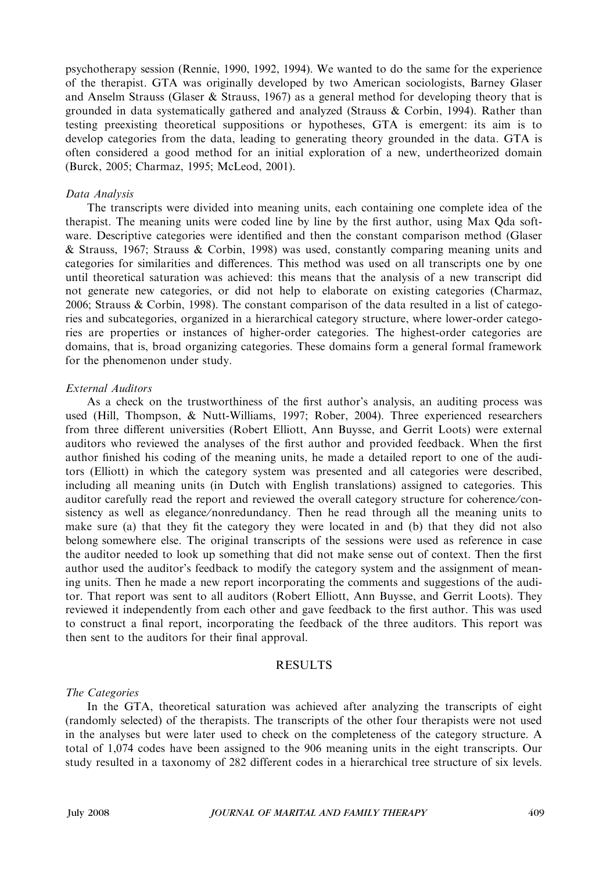psychotherapy session (Rennie, 1990, 1992, 1994). We wanted to do the same for the experience of the therapist. GTA was originally developed by two American sociologists, Barney Glaser and Anselm Strauss (Glaser & Strauss, 1967) as a general method for developing theory that is grounded in data systematically gathered and analyzed (Strauss & Corbin, 1994). Rather than testing preexisting theoretical suppositions or hypotheses, GTA is emergent: its aim is to develop categories from the data, leading to generating theory grounded in the data. GTA is often considered a good method for an initial exploration of a new, undertheorized domain (Burck, 2005; Charmaz, 1995; McLeod, 2001).

#### Data Analysis

The transcripts were divided into meaning units, each containing one complete idea of the therapist. The meaning units were coded line by line by the first author, using Max Qda software. Descriptive categories were identified and then the constant comparison method (Glaser & Strauss, 1967; Strauss & Corbin, 1998) was used, constantly comparing meaning units and categories for similarities and differences. This method was used on all transcripts one by one until theoretical saturation was achieved: this means that the analysis of a new transcript did not generate new categories, or did not help to elaborate on existing categories (Charmaz, 2006; Strauss & Corbin, 1998). The constant comparison of the data resulted in a list of categories and subcategories, organized in a hierarchical category structure, where lower-order categories are properties or instances of higher-order categories. The highest-order categories are domains, that is, broad organizing categories. These domains form a general formal framework for the phenomenon under study.

#### External Auditors

As a check on the trustworthiness of the first author's analysis, an auditing process was used (Hill, Thompson, & Nutt-Williams, 1997; Rober, 2004). Three experienced researchers from three different universities (Robert Elliott, Ann Buysse, and Gerrit Loots) were external auditors who reviewed the analyses of the first author and provided feedback. When the first author finished his coding of the meaning units, he made a detailed report to one of the auditors (Elliott) in which the category system was presented and all categories were described, including all meaning units (in Dutch with English translations) assigned to categories. This auditor carefully read the report and reviewed the overall category structure for coherence/consistency as well as elegance/nonredundancy. Then he read through all the meaning units to make sure (a) that they fit the category they were located in and (b) that they did not also belong somewhere else. The original transcripts of the sessions were used as reference in case the auditor needed to look up something that did not make sense out of context. Then the first author used the auditor's feedback to modify the category system and the assignment of meaning units. Then he made a new report incorporating the comments and suggestions of the auditor. That report was sent to all auditors (Robert Elliott, Ann Buysse, and Gerrit Loots). They reviewed it independently from each other and gave feedback to the first author. This was used to construct a final report, incorporating the feedback of the three auditors. This report was then sent to the auditors for their final approval.

### RESULTS

## The Categories

In the GTA, theoretical saturation was achieved after analyzing the transcripts of eight (randomly selected) of the therapists. The transcripts of the other four therapists were not used in the analyses but were later used to check on the completeness of the category structure. A total of 1,074 codes have been assigned to the 906 meaning units in the eight transcripts. Our study resulted in a taxonomy of 282 different codes in a hierarchical tree structure of six levels.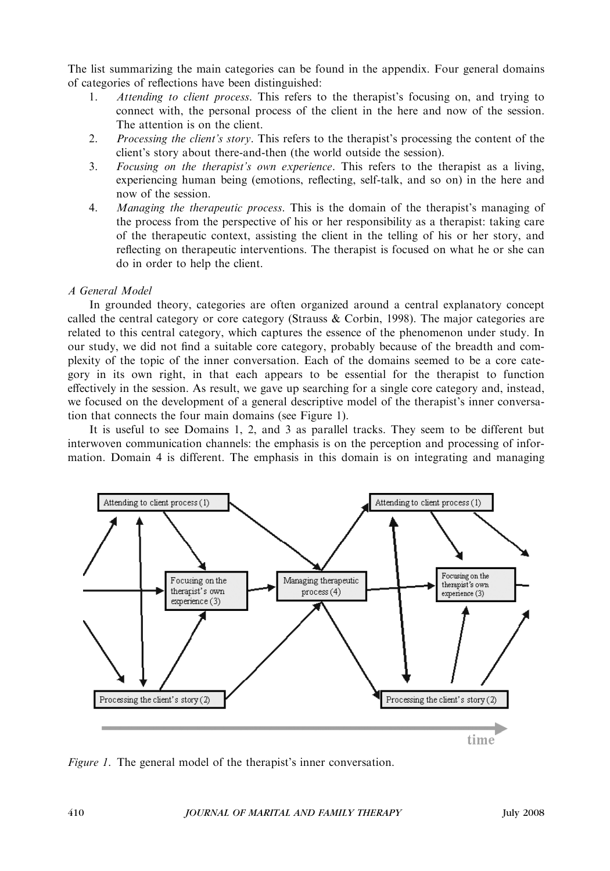The list summarizing the main categories can be found in the appendix. Four general domains of categories of reflections have been distinguished:

- 1. Attending to client process. This refers to the therapist's focusing on, and trying to connect with, the personal process of the client in the here and now of the session. The attention is on the client.
- 2. Processing the client's story. This refers to the therapist's processing the content of the client's story about there-and-then (the world outside the session).
- 3. Focusing on the therapist's own experience. This refers to the therapist as a living, experiencing human being (emotions, reflecting, self-talk, and so on) in the here and now of the session.
- 4. Managing the therapeutic process. This is the domain of the therapist's managing of the process from the perspective of his or her responsibility as a therapist: taking care of the therapeutic context, assisting the client in the telling of his or her story, and reflecting on therapeutic interventions. The therapist is focused on what he or she can do in order to help the client.

# A General Model

In grounded theory, categories are often organized around a central explanatory concept called the central category or core category (Strauss & Corbin, 1998). The major categories are related to this central category, which captures the essence of the phenomenon under study. In our study, we did not find a suitable core category, probably because of the breadth and complexity of the topic of the inner conversation. Each of the domains seemed to be a core category in its own right, in that each appears to be essential for the therapist to function effectively in the session. As result, we gave up searching for a single core category and, instead, we focused on the development of a general descriptive model of the therapist's inner conversation that connects the four main domains (see Figure 1).

It is useful to see Domains 1, 2, and 3 as parallel tracks. They seem to be different but interwoven communication channels: the emphasis is on the perception and processing of information. Domain 4 is different. The emphasis in this domain is on integrating and managing



Figure 1. The general model of the therapist's inner conversation.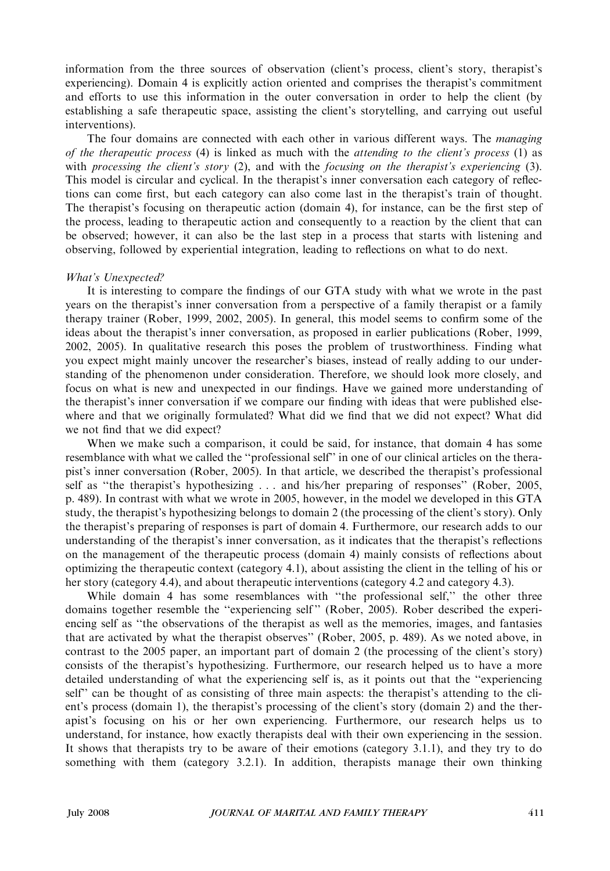information from the three sources of observation (client's process, client's story, therapist's experiencing). Domain 4 is explicitly action oriented and comprises the therapist's commitment and efforts to use this information in the outer conversation in order to help the client (by establishing a safe therapeutic space, assisting the client's storytelling, and carrying out useful interventions).

The four domains are connected with each other in various different ways. The *managing* of the therapeutic process  $(4)$  is linked as much with the *attending to the client's process*  $(1)$  as with processing the client's story (2), and with the focusing on the therapist's experiencing (3). This model is circular and cyclical. In the therapist's inner conversation each category of reflections can come first, but each category can also come last in the therapist's train of thought. The therapist's focusing on therapeutic action (domain 4), for instance, can be the first step of the process, leading to therapeutic action and consequently to a reaction by the client that can be observed; however, it can also be the last step in a process that starts with listening and observing, followed by experiential integration, leading to reflections on what to do next.

#### What's Unexpected?

It is interesting to compare the findings of our GTA study with what we wrote in the past years on the therapist's inner conversation from a perspective of a family therapist or a family therapy trainer (Rober, 1999, 2002, 2005). In general, this model seems to confirm some of the ideas about the therapist's inner conversation, as proposed in earlier publications (Rober, 1999, 2002, 2005). In qualitative research this poses the problem of trustworthiness. Finding what you expect might mainly uncover the researcher's biases, instead of really adding to our understanding of the phenomenon under consideration. Therefore, we should look more closely, and focus on what is new and unexpected in our findings. Have we gained more understanding of the therapist's inner conversation if we compare our finding with ideas that were published elsewhere and that we originally formulated? What did we find that we did not expect? What did we not find that we did expect?

When we make such a comparison, it could be said, for instance, that domain 4 has some resemblance with what we called the ''professional self'' in one of our clinical articles on the therapist's inner conversation (Rober, 2005). In that article, we described the therapist's professional self as ''the therapist's hypothesizing . . . and his⁄ her preparing of responses'' (Rober, 2005, p. 489). In contrast with what we wrote in 2005, however, in the model we developed in this GTA study, the therapist's hypothesizing belongs to domain 2 (the processing of the client's story). Only the therapist's preparing of responses is part of domain 4. Furthermore, our research adds to our understanding of the therapist's inner conversation, as it indicates that the therapist's reflections on the management of the therapeutic process (domain 4) mainly consists of reflections about optimizing the therapeutic context (category 4.1), about assisting the client in the telling of his or her story (category 4.4), and about therapeutic interventions (category 4.2 and category 4.3).

While domain 4 has some resemblances with ''the professional self,'' the other three domains together resemble the "experiencing self" (Rober, 2005). Rober described the experiencing self as ''the observations of the therapist as well as the memories, images, and fantasies that are activated by what the therapist observes'' (Rober, 2005, p. 489). As we noted above, in contrast to the 2005 paper, an important part of domain 2 (the processing of the client's story) consists of the therapist's hypothesizing. Furthermore, our research helped us to have a more detailed understanding of what the experiencing self is, as it points out that the ''experiencing self" can be thought of as consisting of three main aspects: the therapist's attending to the client's process (domain 1), the therapist's processing of the client's story (domain 2) and the therapist's focusing on his or her own experiencing. Furthermore, our research helps us to understand, for instance, how exactly therapists deal with their own experiencing in the session. It shows that therapists try to be aware of their emotions (category 3.1.1), and they try to do something with them (category 3.2.1). In addition, therapists manage their own thinking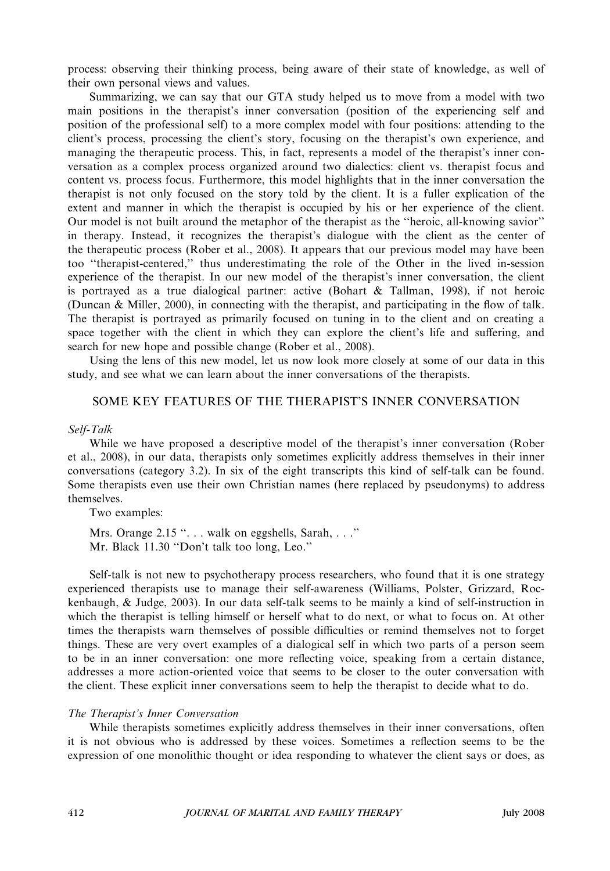process: observing their thinking process, being aware of their state of knowledge, as well of their own personal views and values.

Summarizing, we can say that our GTA study helped us to move from a model with two main positions in the therapist's inner conversation (position of the experiencing self and position of the professional self) to a more complex model with four positions: attending to the client's process, processing the client's story, focusing on the therapist's own experience, and managing the therapeutic process. This, in fact, represents a model of the therapist's inner conversation as a complex process organized around two dialectics: client vs. therapist focus and content vs. process focus. Furthermore, this model highlights that in the inner conversation the therapist is not only focused on the story told by the client. It is a fuller explication of the extent and manner in which the therapist is occupied by his or her experience of the client. Our model is not built around the metaphor of the therapist as the ''heroic, all-knowing savior'' in therapy. Instead, it recognizes the therapist's dialogue with the client as the center of the therapeutic process (Rober et al., 2008). It appears that our previous model may have been too ''therapist-centered,'' thus underestimating the role of the Other in the lived in-session experience of the therapist. In our new model of the therapist's inner conversation, the client is portrayed as a true dialogical partner: active (Bohart & Tallman, 1998), if not heroic (Duncan & Miller, 2000), in connecting with the therapist, and participating in the flow of talk. The therapist is portrayed as primarily focused on tuning in to the client and on creating a space together with the client in which they can explore the client's life and suffering, and search for new hope and possible change (Rober et al., 2008).

Using the lens of this new model, let us now look more closely at some of our data in this study, and see what we can learn about the inner conversations of the therapists.

# SOME KEY FEATURES OF THE THERAPIST'S INNER CONVERSATION

Self-Talk

While we have proposed a descriptive model of the therapist's inner conversation (Rober et al., 2008), in our data, therapists only sometimes explicitly address themselves in their inner conversations (category 3.2). In six of the eight transcripts this kind of self-talk can be found. Some therapists even use their own Christian names (here replaced by pseudonyms) to address themselves.

Two examples:

Mrs. Orange 2.15 ". . . walk on eggshells, Sarah, . . ." Mr. Black 11.30 "Don't talk too long, Leo."

Self-talk is not new to psychotherapy process researchers, who found that it is one strategy experienced therapists use to manage their self-awareness (Williams, Polster, Grizzard, Rockenbaugh, & Judge, 2003). In our data self-talk seems to be mainly a kind of self-instruction in which the therapist is telling himself or herself what to do next, or what to focus on. At other times the therapists warn themselves of possible difficulties or remind themselves not to forget things. These are very overt examples of a dialogical self in which two parts of a person seem to be in an inner conversation: one more reflecting voice, speaking from a certain distance, addresses a more action-oriented voice that seems to be closer to the outer conversation with the client. These explicit inner conversations seem to help the therapist to decide what to do.

### The Therapist's Inner Conversation

While therapists sometimes explicitly address themselves in their inner conversations, often it is not obvious who is addressed by these voices. Sometimes a reflection seems to be the expression of one monolithic thought or idea responding to whatever the client says or does, as

412 *JOURNAL OF MARITAL AND FAMILY THERAPY* July 2008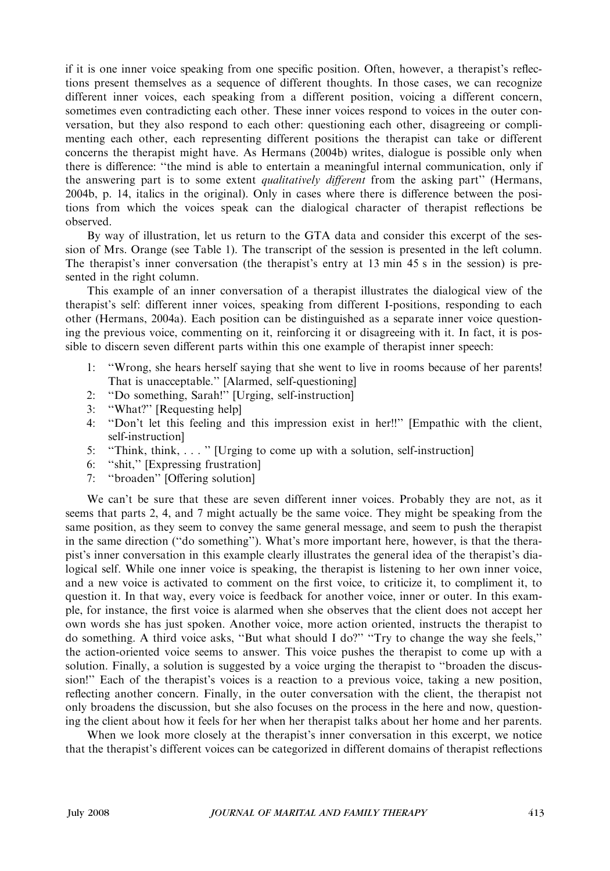if it is one inner voice speaking from one specific position. Often, however, a therapist's reflections present themselves as a sequence of different thoughts. In those cases, we can recognize different inner voices, each speaking from a different position, voicing a different concern, sometimes even contradicting each other. These inner voices respond to voices in the outer conversation, but they also respond to each other: questioning each other, disagreeing or complimenting each other, each representing different positions the therapist can take or different concerns the therapist might have. As Hermans (2004b) writes, dialogue is possible only when there is difference: ''the mind is able to entertain a meaningful internal communication, only if the answering part is to some extent *qualitatively different* from the asking part" (Hermans, 2004b, p. 14, italics in the original). Only in cases where there is difference between the positions from which the voices speak can the dialogical character of therapist reflections be observed.

By way of illustration, let us return to the GTA data and consider this excerpt of the session of Mrs. Orange (see Table 1). The transcript of the session is presented in the left column. The therapist's inner conversation (the therapist's entry at 13 min 45 s in the session) is presented in the right column.

This example of an inner conversation of a therapist illustrates the dialogical view of the therapist's self: different inner voices, speaking from different I-positions, responding to each other (Hermans, 2004a). Each position can be distinguished as a separate inner voice questioning the previous voice, commenting on it, reinforcing it or disagreeing with it. In fact, it is possible to discern seven different parts within this one example of therapist inner speech:

- 1: ''Wrong, she hears herself saying that she went to live in rooms because of her parents! That is unacceptable.'' [Alarmed, self-questioning]
- 2: ''Do something, Sarah!'' [Urging, self-instruction]
- 3: ''What?'' [Requesting help]
- 4: ''Don't let this feeling and this impression exist in her!!'' [Empathic with the client, self-instruction]
- 5: ''Think, think, . . . '' [Urging to come up with a solution, self-instruction]
- 6: ''shit,'' [Expressing frustration]
- 7: ''broaden'' [Offering solution]

We can't be sure that these are seven different inner voices. Probably they are not, as it seems that parts 2, 4, and 7 might actually be the same voice. They might be speaking from the same position, as they seem to convey the same general message, and seem to push the therapist in the same direction (''do something''). What's more important here, however, is that the therapist's inner conversation in this example clearly illustrates the general idea of the therapist's dialogical self. While one inner voice is speaking, the therapist is listening to her own inner voice, and a new voice is activated to comment on the first voice, to criticize it, to compliment it, to question it. In that way, every voice is feedback for another voice, inner or outer. In this example, for instance, the first voice is alarmed when she observes that the client does not accept her own words she has just spoken. Another voice, more action oriented, instructs the therapist to do something. A third voice asks, ''But what should I do?'' ''Try to change the way she feels,'' the action-oriented voice seems to answer. This voice pushes the therapist to come up with a solution. Finally, a solution is suggested by a voice urging the therapist to ''broaden the discussion!'' Each of the therapist's voices is a reaction to a previous voice, taking a new position, reflecting another concern. Finally, in the outer conversation with the client, the therapist not only broadens the discussion, but she also focuses on the process in the here and now, questioning the client about how it feels for her when her therapist talks about her home and her parents.

When we look more closely at the therapist's inner conversation in this excerpt, we notice that the therapist's different voices can be categorized in different domains of therapist reflections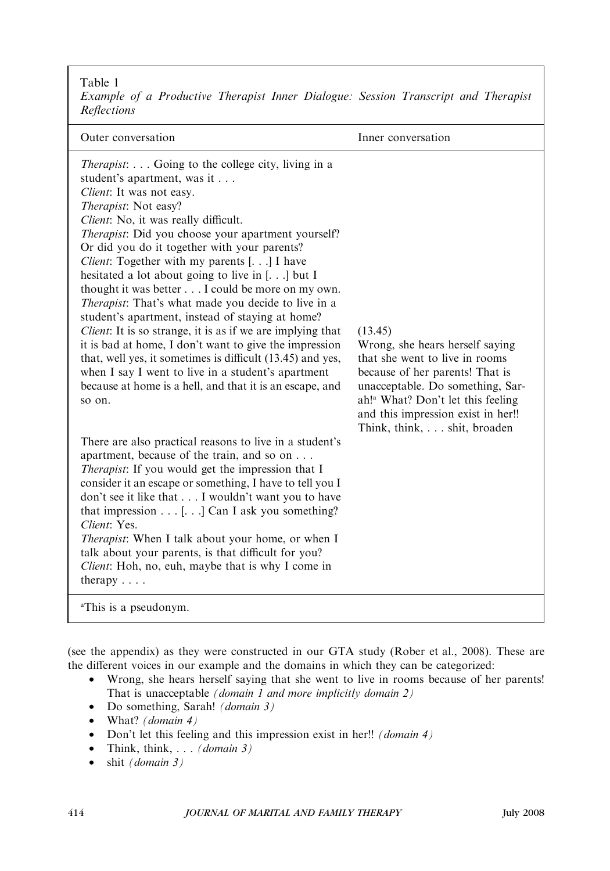Table 1 Example of a Productive Therapist Inner Dialogue: Session Transcript and Therapist **Reflections** 

| Outer conversation                                                                                                                                                                                                                                                                                                                                                                                                                                                                                                                                                                                                                                                                                                                                                                                                                                                                             | Inner conversation                                                                                                                                                                                                                                                        |
|------------------------------------------------------------------------------------------------------------------------------------------------------------------------------------------------------------------------------------------------------------------------------------------------------------------------------------------------------------------------------------------------------------------------------------------------------------------------------------------------------------------------------------------------------------------------------------------------------------------------------------------------------------------------------------------------------------------------------------------------------------------------------------------------------------------------------------------------------------------------------------------------|---------------------------------------------------------------------------------------------------------------------------------------------------------------------------------------------------------------------------------------------------------------------------|
| <i>Therapist</i> : Going to the college city, living in a<br>student's apartment, was it<br>Client: It was not easy.<br>Therapist: Not easy?<br>Client: No, it was really difficult.<br>Therapist: Did you choose your apartment yourself?<br>Or did you do it together with your parents?<br><i>Client</i> : Together with my parents [] I have<br>hesitated a lot about going to live in $[]$ but I<br>thought it was better I could be more on my own.<br>Therapist: That's what made you decide to live in a<br>student's apartment, instead of staying at home?<br><i>Client</i> : It is so strange, it is as if we are implying that<br>it is bad at home, I don't want to give the impression<br>that, well yes, it sometimes is difficult (13.45) and yes,<br>when I say I went to live in a student's apartment<br>because at home is a hell, and that it is an escape, and<br>so on. | (13.45)<br>Wrong, she hears herself saying<br>that she went to live in rooms<br>because of her parents! That is<br>unacceptable. Do something, Sar-<br>ah! <sup>a</sup> What? Don't let this feeling<br>and this impression exist in her!!<br>Think, think, shit, broaden |
| There are also practical reasons to live in a student's<br>apartment, because of the train, and so on<br><i>Therapist</i> : If you would get the impression that I<br>consider it an escape or something, I have to tell you I<br>don't see it like that I wouldn't want you to have<br>that impression $\dots$ [ $\dots$ ] Can I ask you something?<br>Client: Yes.<br>Therapist: When I talk about your home, or when I<br>talk about your parents, is that difficult for you?<br>Client: Hoh, no, euh, maybe that is why I come in<br>therapy $\ldots$ .                                                                                                                                                                                                                                                                                                                                    |                                                                                                                                                                                                                                                                           |
| <sup>a</sup> This is a pseudonym.                                                                                                                                                                                                                                                                                                                                                                                                                                                                                                                                                                                                                                                                                                                                                                                                                                                              |                                                                                                                                                                                                                                                                           |

(see the appendix) as they were constructed in our GTA study (Rober et al., 2008). These are the different voices in our example and the domains in which they can be categorized:

- Wrong, she hears herself saying that she went to live in rooms because of her parents! That is unacceptable (domain 1 and more implicitly domain 2)
- Do something, Sarah! *(domain 3)*
- What?  $(domain 4)$
- Don't let this feeling and this impression exist in her!! *(domain 4)*
- Think, think,  $\ldots$  (domain 3)
- shit (domain 3)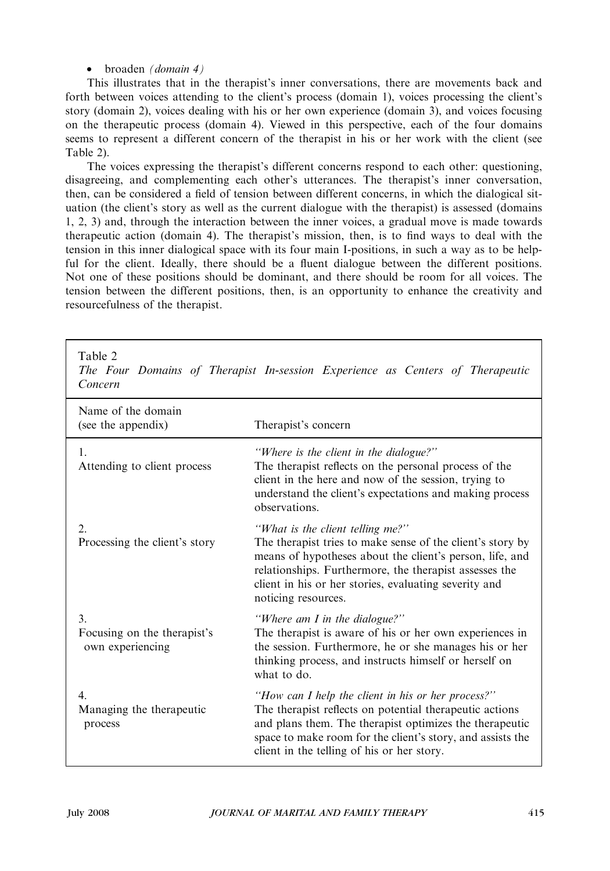• broaden *(domain 4)* 

This illustrates that in the therapist's inner conversations, there are movements back and forth between voices attending to the client's process (domain 1), voices processing the client's story (domain 2), voices dealing with his or her own experience (domain 3), and voices focusing on the therapeutic process (domain 4). Viewed in this perspective, each of the four domains seems to represent a different concern of the therapist in his or her work with the client (see Table 2).

The voices expressing the therapist's different concerns respond to each other: questioning, disagreeing, and complementing each other's utterances. The therapist's inner conversation, then, can be considered a field of tension between different concerns, in which the dialogical situation (the client's story as well as the current dialogue with the therapist) is assessed (domains 1, 2, 3) and, through the interaction between the inner voices, a gradual move is made towards therapeutic action (domain 4). The therapist's mission, then, is to find ways to deal with the tension in this inner dialogical space with its four main I-positions, in such a way as to be helpful for the client. Ideally, there should be a fluent dialogue between the different positions. Not one of these positions should be dominant, and there should be room for all voices. The tension between the different positions, then, is an opportunity to enhance the creativity and resourcefulness of the therapist.

| Concern                                               |                                                                                                                                                                                                                                                                                                      |
|-------------------------------------------------------|------------------------------------------------------------------------------------------------------------------------------------------------------------------------------------------------------------------------------------------------------------------------------------------------------|
| Name of the domain<br>(see the appendix)              | Therapist's concern                                                                                                                                                                                                                                                                                  |
| 1.<br>Attending to client process                     | "Where is the client in the dialogue?"<br>The therapist reflects on the personal process of the<br>client in the here and now of the session, trying to<br>understand the client's expectations and making process<br>observations.                                                                  |
| 2.<br>Processing the client's story                   | "What is the client telling me?"<br>The therapist tries to make sense of the client's story by<br>means of hypotheses about the client's person, life, and<br>relationships. Furthermore, the therapist assesses the<br>client in his or her stories, evaluating severity and<br>noticing resources. |
| 3.<br>Focusing on the therapist's<br>own experiencing | "Where am I in the dialogue?"<br>The therapist is aware of his or her own experiences in<br>the session. Furthermore, he or she manages his or her<br>thinking process, and instructs himself or herself on<br>what to do.                                                                           |
| 4.<br>Managing the therapeutic<br>process             | "How can I help the client in his or her process?"<br>The therapist reflects on potential therapeutic actions<br>and plans them. The therapist optimizes the therapeutic<br>space to make room for the client's story, and assists the<br>client in the telling of his or her story.                 |

The Four Domains of Therapist In-session Experience as Centers of Therapeutic Concern

Table 2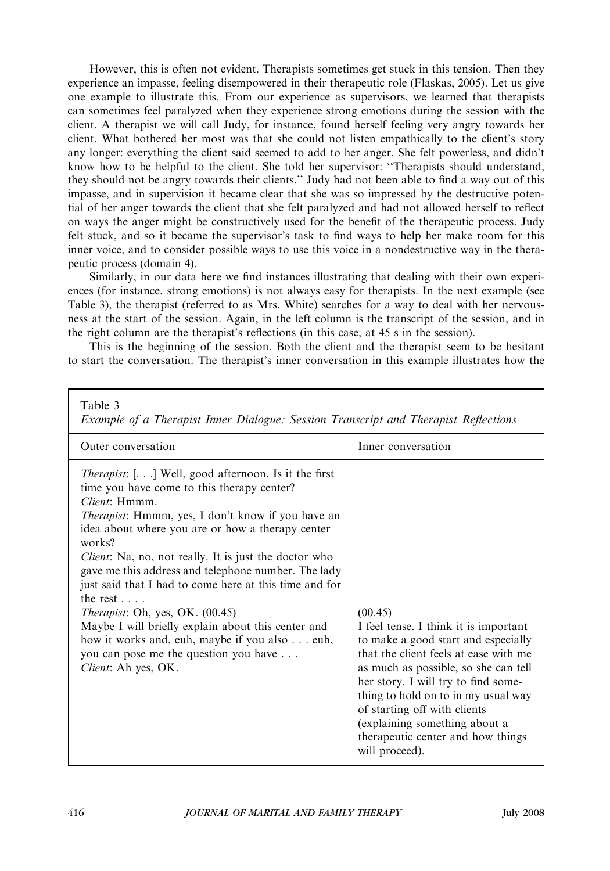However, this is often not evident. Therapists sometimes get stuck in this tension. Then they experience an impasse, feeling disempowered in their therapeutic role (Flaskas, 2005). Let us give one example to illustrate this. From our experience as supervisors, we learned that therapists can sometimes feel paralyzed when they experience strong emotions during the session with the client. A therapist we will call Judy, for instance, found herself feeling very angry towards her client. What bothered her most was that she could not listen empathically to the client's story any longer: everything the client said seemed to add to her anger. She felt powerless, and didn't know how to be helpful to the client. She told her supervisor: ''Therapists should understand, they should not be angry towards their clients.'' Judy had not been able to find a way out of this impasse, and in supervision it became clear that she was so impressed by the destructive potential of her anger towards the client that she felt paralyzed and had not allowed herself to reflect on ways the anger might be constructively used for the benefit of the therapeutic process. Judy felt stuck, and so it became the supervisor's task to find ways to help her make room for this inner voice, and to consider possible ways to use this voice in a nondestructive way in the therapeutic process (domain 4).

Similarly, in our data here we find instances illustrating that dealing with their own experiences (for instance, strong emotions) is not always easy for therapists. In the next example (see Table 3), the therapist (referred to as Mrs. White) searches for a way to deal with her nervousness at the start of the session. Again, in the left column is the transcript of the session, and in the right column are the therapist's reflections (in this case, at 45 s in the session).

This is the beginning of the session. Both the client and the therapist seem to be hesitant to start the conversation. The therapist's inner conversation in this example illustrates how the

| r avit <i>J</i><br>Example of a Therapist Inner Dialogue: Session Transcript and Therapist Reflections                                                                                                                                                                                                                                                                                                                                                                                                                                                                                                                                                                         |                                                                                                                                                                                                                                                                                                                                                                                |  |
|--------------------------------------------------------------------------------------------------------------------------------------------------------------------------------------------------------------------------------------------------------------------------------------------------------------------------------------------------------------------------------------------------------------------------------------------------------------------------------------------------------------------------------------------------------------------------------------------------------------------------------------------------------------------------------|--------------------------------------------------------------------------------------------------------------------------------------------------------------------------------------------------------------------------------------------------------------------------------------------------------------------------------------------------------------------------------|--|
| Outer conversation                                                                                                                                                                                                                                                                                                                                                                                                                                                                                                                                                                                                                                                             | Inner conversation                                                                                                                                                                                                                                                                                                                                                             |  |
| <i>Therapist</i> : [] Well, good afternoon. Is it the first<br>time you have come to this therapy center?<br>Client: Hmmm.<br><i>Therapist</i> : Hmmm, yes, I don't know if you have an<br>idea about where you are or how a therapy center<br>works?<br><i>Client</i> : Na, no, not really. It is just the doctor who<br>gave me this address and telephone number. The lady<br>just said that I had to come here at this time and for<br>the rest $\ldots$<br><i>Therapist</i> : Oh, yes, OK. (00.45)<br>Maybe I will briefly explain about this center and<br>how it works and, euh, maybe if you also euh,<br>you can pose me the question you have<br>Client: Ah yes, OK. | (00.45)<br>I feel tense. I think it is important<br>to make a good start and especially<br>that the client feels at ease with me<br>as much as possible, so she can tell<br>her story. I will try to find some-<br>thing to hold on to in my usual way<br>of starting off with clients<br>(explaining something about a<br>therapeutic center and how things<br>will proceed). |  |

Table 3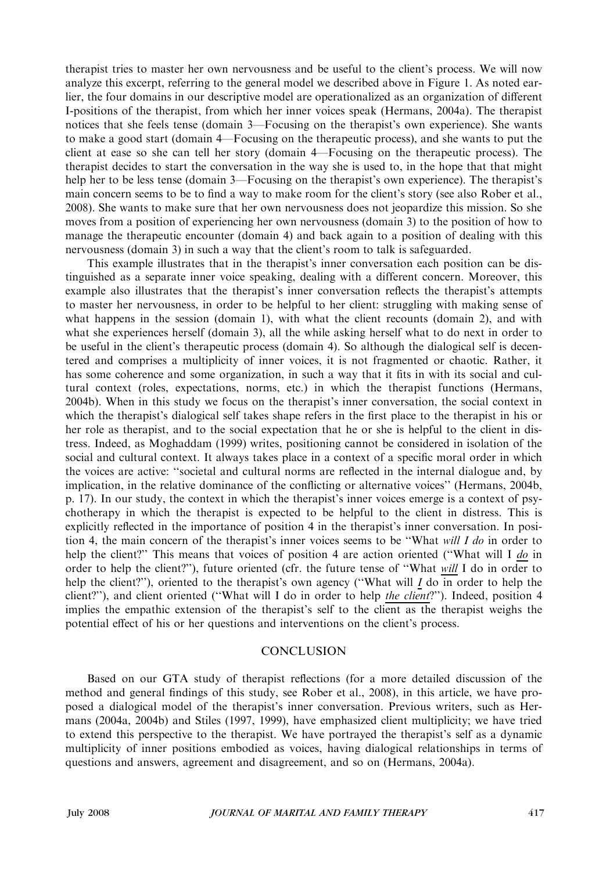therapist tries to master her own nervousness and be useful to the client's process. We will now analyze this excerpt, referring to the general model we described above in Figure 1. As noted earlier, the four domains in our descriptive model are operationalized as an organization of different I-positions of the therapist, from which her inner voices speak (Hermans, 2004a). The therapist notices that she feels tense (domain 3—Focusing on the therapist's own experience). She wants to make a good start (domain 4—Focusing on the therapeutic process), and she wants to put the client at ease so she can tell her story (domain 4—Focusing on the therapeutic process). The therapist decides to start the conversation in the way she is used to, in the hope that that might help her to be less tense (domain 3—Focusing on the therapist's own experience). The therapist's main concern seems to be to find a way to make room for the client's story (see also Rober et al., 2008). She wants to make sure that her own nervousness does not jeopardize this mission. So she moves from a position of experiencing her own nervousness (domain 3) to the position of how to manage the therapeutic encounter (domain 4) and back again to a position of dealing with this nervousness (domain 3) in such a way that the client's room to talk is safeguarded.

This example illustrates that in the therapist's inner conversation each position can be distinguished as a separate inner voice speaking, dealing with a different concern. Moreover, this example also illustrates that the therapist's inner conversation reflects the therapist's attempts to master her nervousness, in order to be helpful to her client: struggling with making sense of what happens in the session (domain 1), with what the client recounts (domain 2), and with what she experiences herself (domain 3), all the while asking herself what to do next in order to be useful in the client's therapeutic process (domain 4). So although the dialogical self is decentered and comprises a multiplicity of inner voices, it is not fragmented or chaotic. Rather, it has some coherence and some organization, in such a way that it fits in with its social and cultural context (roles, expectations, norms, etc.) in which the therapist functions (Hermans, 2004b). When in this study we focus on the therapist's inner conversation, the social context in which the therapist's dialogical self takes shape refers in the first place to the therapist in his or her role as therapist, and to the social expectation that he or she is helpful to the client in distress. Indeed, as Moghaddam (1999) writes, positioning cannot be considered in isolation of the social and cultural context. It always takes place in a context of a specific moral order in which the voices are active: ''societal and cultural norms are reflected in the internal dialogue and, by implication, in the relative dominance of the conflicting or alternative voices'' (Hermans, 2004b, p. 17). In our study, the context in which the therapist's inner voices emerge is a context of psychotherapy in which the therapist is expected to be helpful to the client in distress. This is explicitly reflected in the importance of position 4 in the therapist's inner conversation. In position 4, the main concern of the therapist's inner voices seems to be "What will I do in order to help the client?" This means that voices of position 4 are action oriented ("What will I do in order to help the client?"), future oriented (cfr. the future tense of "What will I do in order to help the client?"), oriented to the therapist's own agency ("What will I do in order to help the client?"), and client oriented ("What will I do in order to help the client?"). Indeed, position 4 implies the empathic extension of the therapist's self to the client as the therapist weighs the potential effect of his or her questions and interventions on the client's process.

### **CONCLUSION**

Based on our GTA study of therapist reflections (for a more detailed discussion of the method and general findings of this study, see Rober et al., 2008), in this article, we have proposed a dialogical model of the therapist's inner conversation. Previous writers, such as Hermans (2004a, 2004b) and Stiles (1997, 1999), have emphasized client multiplicity; we have tried to extend this perspective to the therapist. We have portrayed the therapist's self as a dynamic multiplicity of inner positions embodied as voices, having dialogical relationships in terms of questions and answers, agreement and disagreement, and so on (Hermans, 2004a).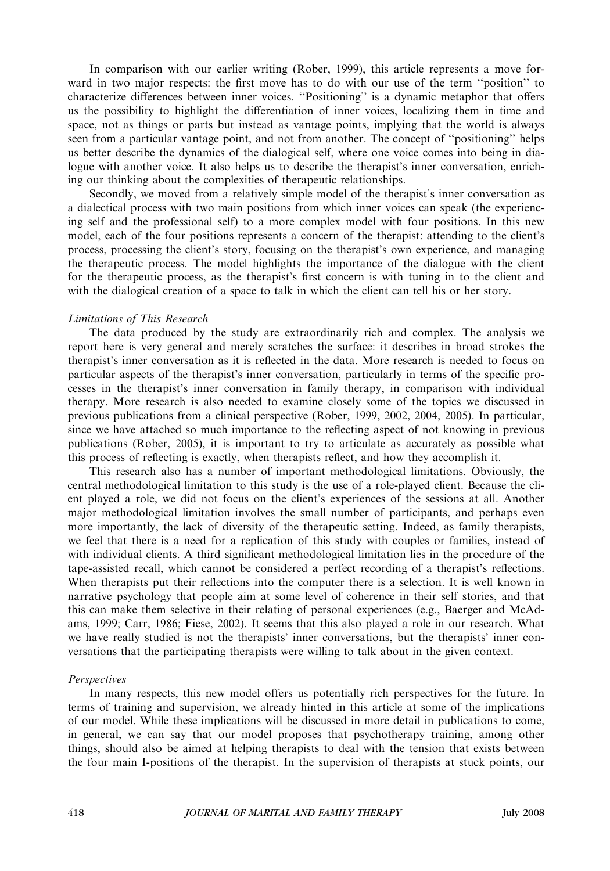In comparison with our earlier writing (Rober, 1999), this article represents a move forward in two major respects: the first move has to do with our use of the term ''position'' to characterize differences between inner voices. ''Positioning'' is a dynamic metaphor that offers us the possibility to highlight the differentiation of inner voices, localizing them in time and space, not as things or parts but instead as vantage points, implying that the world is always seen from a particular vantage point, and not from another. The concept of ''positioning'' helps us better describe the dynamics of the dialogical self, where one voice comes into being in dialogue with another voice. It also helps us to describe the therapist's inner conversation, enriching our thinking about the complexities of therapeutic relationships.

Secondly, we moved from a relatively simple model of the therapist's inner conversation as a dialectical process with two main positions from which inner voices can speak (the experiencing self and the professional self) to a more complex model with four positions. In this new model, each of the four positions represents a concern of the therapist: attending to the client's process, processing the client's story, focusing on the therapist's own experience, and managing the therapeutic process. The model highlights the importance of the dialogue with the client for the therapeutic process, as the therapist's first concern is with tuning in to the client and with the dialogical creation of a space to talk in which the client can tell his or her story.

### Limitations of This Research

The data produced by the study are extraordinarily rich and complex. The analysis we report here is very general and merely scratches the surface: it describes in broad strokes the therapist's inner conversation as it is reflected in the data. More research is needed to focus on particular aspects of the therapist's inner conversation, particularly in terms of the specific processes in the therapist's inner conversation in family therapy, in comparison with individual therapy. More research is also needed to examine closely some of the topics we discussed in previous publications from a clinical perspective (Rober, 1999, 2002, 2004, 2005). In particular, since we have attached so much importance to the reflecting aspect of not knowing in previous publications (Rober, 2005), it is important to try to articulate as accurately as possible what this process of reflecting is exactly, when therapists reflect, and how they accomplish it.

This research also has a number of important methodological limitations. Obviously, the central methodological limitation to this study is the use of a role-played client. Because the client played a role, we did not focus on the client's experiences of the sessions at all. Another major methodological limitation involves the small number of participants, and perhaps even more importantly, the lack of diversity of the therapeutic setting. Indeed, as family therapists, we feel that there is a need for a replication of this study with couples or families, instead of with individual clients. A third significant methodological limitation lies in the procedure of the tape-assisted recall, which cannot be considered a perfect recording of a therapist's reflections. When therapists put their reflections into the computer there is a selection. It is well known in narrative psychology that people aim at some level of coherence in their self stories, and that this can make them selective in their relating of personal experiences (e.g., Baerger and McAdams, 1999; Carr, 1986; Fiese, 2002). It seems that this also played a role in our research. What we have really studied is not the therapists' inner conversations, but the therapists' inner conversations that the participating therapists were willing to talk about in the given context.

### Perspectives

In many respects, this new model offers us potentially rich perspectives for the future. In terms of training and supervision, we already hinted in this article at some of the implications of our model. While these implications will be discussed in more detail in publications to come, in general, we can say that our model proposes that psychotherapy training, among other things, should also be aimed at helping therapists to deal with the tension that exists between the four main I-positions of the therapist. In the supervision of therapists at stuck points, our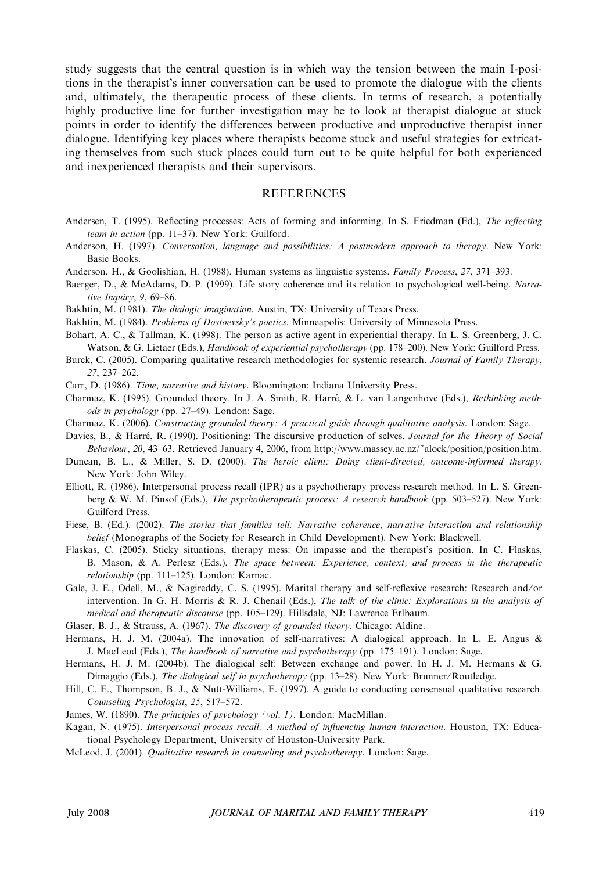study suggests that the central question is in which way the tension between the main I-positions in the therapist's inner conversation can be used to promote the dialogue with the clients and, ultimately, the therapeutic process of these clients. In terms of research, a potentially highly productive line for further investigation may be to look at therapist dialogue at stuck points in order to identify the differences between productive and unproductive therapist inner dialogue. Identifying key places where therapists become stuck and useful strategies for extricating themselves from such stuck places could turn out to be quite helpful for both experienced and inexperienced therapists and their supervisors.

### REFERENCES

- Andersen, T. (1995). Reflecting processes: Acts of forming and informing. In S. Friedman (Ed.), The reflecting team in action (pp. 11-37). New York: Guilford.
- Anderson, H. (1997). Conversation, language and possibilities: A postmodern approach to therapy. New York: Basic Books.
- Anderson, H., & Goolishian, H. (1988). Human systems as linguistic systems. Family Process, 27, 371–393.
- Baerger, D., & McAdams, D. P. (1999). Life story coherence and its relation to psychological well-being. Narrative Inquiry, 9, 69–86.
- Bakhtin, M. (1981). The dialogic imagination. Austin, TX: University of Texas Press.
- Bakhtin, M. (1984). Problems of Dostoevsky's poetics. Minneapolis: University of Minnesota Press.
- Bohart, A. C., & Tallman, K. (1998). The person as active agent in experiential therapy. In L. S. Greenberg, J. C. Watson, & G. Lietaer (Eds.), Handbook of experiential psychotherapy (pp. 178–200). New York: Guilford Press.
- Burck, C. (2005). Comparing qualitative research methodologies for systemic research. Journal of Family Therapy, 27, 237–262.
- Carr, D. (1986). Time, narrative and history. Bloomington: Indiana University Press.
- Charmaz, K. (1995). Grounded theory. In J. A. Smith, R. Harré, & L. van Langenhove (Eds.), Rethinking methods in psychology (pp. 27–49). London: Sage.
- Charmaz, K. (2006). Constructing grounded theory: A practical guide through qualitative analysis. London: Sage.
- Davies, B., & Harré, R. (1990). Positioning: The discursive production of selves. Journal for the Theory of Social Behaviour, 20, 43–63. Retrieved January 4, 2006, from http://www.massey.ac.nz/~alock/position/position.htm.
- Duncan, B. L., & Miller, S. D. (2000). The heroic client: Doing client-directed, outcome-informed therapy. New York: John Wiley.
- Elliott, R. (1986). Interpersonal process recall (IPR) as a psychotherapy process research method. In L. S. Greenberg & W. M. Pinsof (Eds.), The psychotherapeutic process: A research handbook (pp. 503-527). New York: Guilford Press.
- Fiese, B. (Ed.). (2002). The stories that families tell: Narrative coherence, narrative interaction and relationship belief (Monographs of the Society for Research in Child Development). New York: Blackwell.
- Flaskas, C. (2005). Sticky situations, therapy mess: On impasse and the therapist's position. In C. Flaskas, B. Mason, & A. Perlesz (Eds.), The space between: Experience, context, and process in the therapeutic relationship (pp. 111–125). London: Karnac.
- Gale, J. E., Odell, M., & Nagireddy, C. S. (1995). Marital therapy and self-reflexive research: Research and/or intervention. In G. H. Morris & R. J. Chenail (Eds.), The talk of the clinic: Explorations in the analysis of medical and therapeutic discourse (pp. 105–129). Hillsdale, NJ: Lawrence Erlbaum.
- Glaser, B. J., & Strauss, A. (1967). The discovery of grounded theory. Chicago: Aldine.
- Hermans, H. J. M. (2004a). The innovation of self-narratives: A dialogical approach. In L. E. Angus & J. MacLeod (Eds.), The handbook of narrative and psychotherapy (pp. 175–191). London: Sage.
- Hermans, H. J. M. (2004b). The dialogical self: Between exchange and power. In H. J. M. Hermans & G. Dimaggio (Eds.), The dialogical self in psychotherapy (pp. 13–28). New York: Brunner⁄ Routledge.
- Hill, C. E., Thompson, B. J., & Nutt-Williams, E. (1997). A guide to conducting consensual qualitative research. Counseling Psychologist, 25, 517–572.
- James, W. (1890). The principles of psychology (vol. 1). London: MacMillan.
- Kagan, N. (1975). Interpersonal process recall: A method of influencing human interaction. Houston, TX: Educational Psychology Department, University of Houston-University Park.
- McLeod, J. (2001). Qualitative research in counseling and psychotherapy. London: Sage.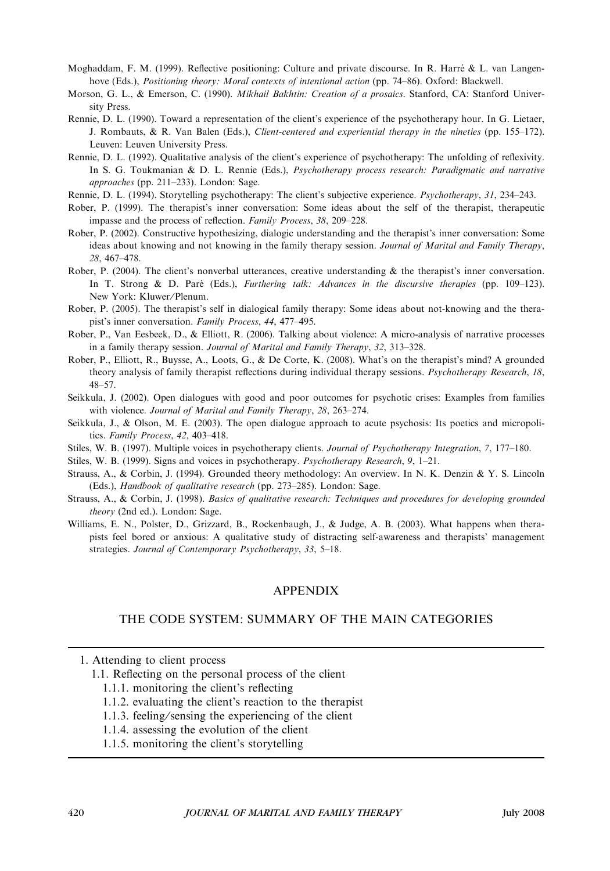- Moghaddam, F. M. (1999). Reflective positioning: Culture and private discourse. In R. Harré & L. van Langenhove (Eds.), Positioning theory: Moral contexts of intentional action (pp. 74–86). Oxford: Blackwell.
- Morson, G. L., & Emerson, C. (1990). Mikhail Bakhtin: Creation of a prosaics. Stanford, CA: Stanford University Press.
- Rennie, D. L. (1990). Toward a representation of the client's experience of the psychotherapy hour. In G. Lietaer, J. Rombauts, & R. Van Balen (Eds.), Client-centered and experiential therapy in the nineties (pp. 155–172). Leuven: Leuven University Press.
- Rennie, D. L. (1992). Qualitative analysis of the client's experience of psychotherapy: The unfolding of reflexivity. In S. G. Toukmanian & D. L. Rennie (Eds.), Psychotherapy process research: Paradigmatic and narrative approaches (pp. 211–233). London: Sage.
- Rennie, D. L. (1994). Storytelling psychotherapy: The client's subjective experience. Psychotherapy, 31, 234–243.
- Rober, P. (1999). The therapist's inner conversation: Some ideas about the self of the therapist, therapeutic impasse and the process of reflection. Family Process, 38, 209–228.
- Rober, P. (2002). Constructive hypothesizing, dialogic understanding and the therapist's inner conversation: Some ideas about knowing and not knowing in the family therapy session. Journal of Marital and Family Therapy, 28, 467–478.
- Rober, P. (2004). The client's nonverbal utterances, creative understanding & the therapist's inner conversation. In T. Strong & D. Paré (Eds.), Furthering talk: Advances in the discursive therapies (pp. 109–123). New York: Kluwer⁄ Plenum.
- Rober, P. (2005). The therapist's self in dialogical family therapy: Some ideas about not-knowing and the therapist's inner conversation. Family Process, 44, 477–495.
- Rober, P., Van Eesbeek, D., & Elliott, R. (2006). Talking about violence: A micro-analysis of narrative processes in a family therapy session. Journal of Marital and Family Therapy, 32, 313–328.
- Rober, P., Elliott, R., Buysse, A., Loots, G., & De Corte, K. (2008). What's on the therapist's mind? A grounded theory analysis of family therapist reflections during individual therapy sessions. Psychotherapy Research, 18, 48–57.
- Seikkula, J. (2002). Open dialogues with good and poor outcomes for psychotic crises: Examples from families with violence. Journal of Marital and Family Therapy, 28, 263-274.
- Seikkula, J., & Olson, M. E. (2003). The open dialogue approach to acute psychosis: Its poetics and micropolitics. Family Process, 42, 403–418.
- Stiles, W. B. (1997). Multiple voices in psychotherapy clients. Journal of Psychotherapy Integration, 7, 177–180.
- Stiles, W. B. (1999). Signs and voices in psychotherapy. Psychotherapy Research, 9, 1–21.
- Strauss, A., & Corbin, J. (1994). Grounded theory methodology: An overview. In N. K. Denzin & Y. S. Lincoln (Eds.), Handbook of qualitative research (pp. 273-285). London: Sage.
- Strauss, A., & Corbin, J. (1998). Basics of qualitative research: Techniques and procedures for developing grounded theory (2nd ed.). London: Sage.
- Williams, E. N., Polster, D., Grizzard, B., Rockenbaugh, J., & Judge, A. B. (2003). What happens when therapists feel bored or anxious: A qualitative study of distracting self-awareness and therapists' management strategies. Journal of Contemporary Psychotherapy, 33, 5–18.

### APPENDIX

# THE CODE SYSTEM: SUMMARY OF THE MAIN CATEGORIES

- 1. Attending to client process
	- 1.1. Reflecting on the personal process of the client
		- 1.1.1. monitoring the client's reflecting
		- 1.1.2. evaluating the client's reaction to the therapist
		- 1.1.3. feeling/sensing the experiencing of the client
		- 1.1.4. assessing the evolution of the client
		- 1.1.5. monitoring the client's storytelling